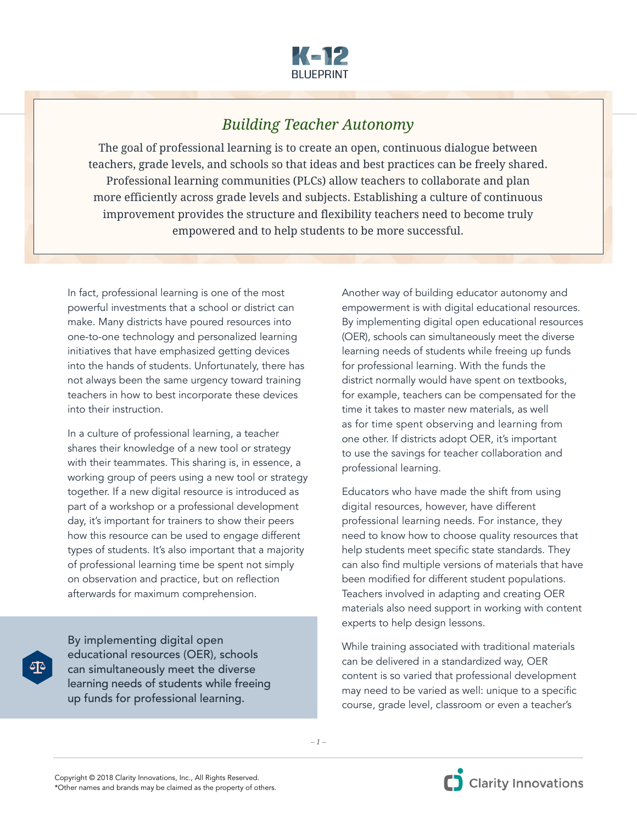

## *Building Teacher Autonomy*

The goal of professional learning is to create an open, continuous dialogue between teachers, grade levels, and schools so that ideas and best practices can be freely shared. Professional learning communities (PLCs) allow teachers to collaborate and plan more efficiently across grade levels and subjects. Establishing a culture of continuous improvement provides the structure and flexibility teachers need to become truly empowered and to help students to be more successful.

In fact, professional learning is one of the most powerful investments that a school or district can make. Many districts have poured resources into one-to-one technology and personalized learning initiatives that have emphasized getting devices into the hands of students. Unfortunately, there has not always been the same urgency toward training teachers in how to best incorporate these devices into their instruction.

In a culture of professional learning, a teacher shares their knowledge of a new tool or strategy with their teammates. This sharing is, in essence, a working group of peers using a new tool or strategy together. If a new digital resource is introduced as part of a workshop or a professional development day, it's important for trainers to show their peers how this resource can be used to engage different types of students. It's also important that a majority of professional learning time be spent not simply on observation and practice, but on reflection afterwards for maximum comprehension.

By implementing digital open educational resources (OER), schools can simultaneously meet the diverse learning needs of students while freeing up funds for professional learning.

Another way of building educator autonomy and empowerment is with digital educational resources. By implementing digital open educational resources (OER), schools can simultaneously meet the diverse learning needs of students while freeing up funds for professional learning. With the funds the district normally would have spent on textbooks, for example, teachers can be compensated for the time it takes to master new materials, as well as for time spent observing and learning from one other. If districts adopt OER, it's important to use the savings for teacher collaboration and professional learning.

Educators who have made the shift from using digital resources, however, have different professional learning needs. For instance, they need to know how to choose quality resources that help students meet specific state standards. They can also find multiple versions of materials that have been modified for different student populations. Teachers involved in adapting and creating OER materials also need support in working with content experts to help design lessons.

While training associated with traditional materials can be delivered in a standardized way, OER content is so varied that professional development may need to be varied as well: unique to a specific course, grade level, classroom or even a teacher's

*– 1 –*